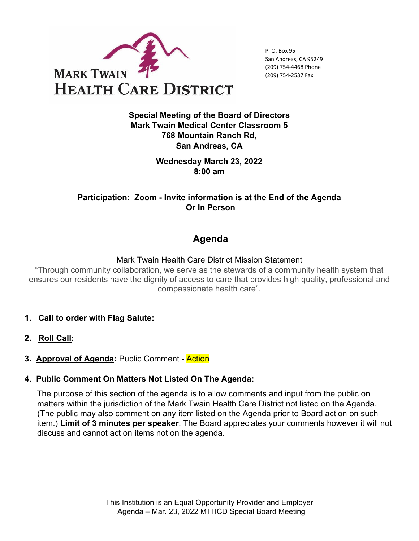

P. O. Box 95 San Andreas, CA 95249 (209) 754-4468 Phone (209) 754-2537 Fax

**Special Meeting of the Board of Directors Mark Twain Medical Center Classroom 5 768 Mountain Ranch Rd, San Andreas, CA** 

> **Wednesday March 23, 2022 8:00 am**

**Participation: Zoom - Invite information is at the End of the Agenda Or In Person**

# **Agenda**

Mark Twain Health Care District Mission Statement

"Through community collaboration, we serve as the stewards of a community health system that ensures our residents have the dignity of access to care that provides high quality, professional and compassionate health care".

- **1. Call to order with Flag Salute:**
- **2. Roll Call:**
- **3. Approval of Agenda:** Public Comment Action

#### **4. Public Comment On Matters Not Listed On The Agenda:**

The purpose of this section of the agenda is to allow comments and input from the public on matters within the jurisdiction of the Mark Twain Health Care District not listed on the Agenda. (The public may also comment on any item listed on the Agenda prior to Board action on such item.) **Limit of 3 minutes per speaker**. The Board appreciates your comments however it will not discuss and cannot act on items not on the agenda.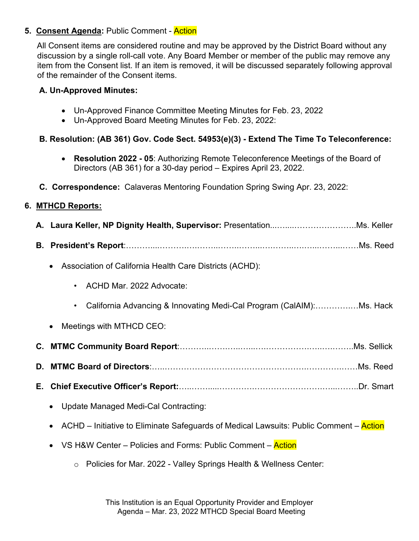# **5. Consent Agenda: Public Comment - Action**

All Consent items are considered routine and may be approved by the District Board without any discussion by a single roll-call vote. Any Board Member or member of the public may remove any item from the Consent list. If an item is removed, it will be discussed separately following approval of the remainder of the Consent items.

# **A. Un-Approved Minutes:**

- Un-Approved Finance Committee Meeting Minutes for Feb. 23, 2022
- Un-Approved Board Meeting Minutes for Feb. 23, 2022:

# **B. Resolution: (AB 361) Gov. Code Sect. 54953(e)(3) - Extend The Time To Teleconference:**

- **Resolution 2022 05**: Authorizing Remote Teleconference Meetings of the Board of Directors (AB 361) for a 30-day period – Expires April 23, 2022.
- **C. Correspondence:** Calaveras Mentoring Foundation Spring Swing Apr. 23, 2022:

# **6. MTHCD Reports:**

| Association of California Health Care Districts (ACHD):                                |  |  |
|----------------------------------------------------------------------------------------|--|--|
| ACHD Mar. 2022 Advocate:                                                               |  |  |
|                                                                                        |  |  |
| Meetings with MTHCD CEO:                                                               |  |  |
|                                                                                        |  |  |
|                                                                                        |  |  |
|                                                                                        |  |  |
| <b>Update Managed Medi-Cal Contracting:</b><br>$\bullet$                               |  |  |
| ACHD – Initiative to Eliminate Safeguards of Medical Lawsuits: Public Comment – Action |  |  |
| VS H&W Center – Policies and Forms: Public Comment – Action                            |  |  |
| Policies for Mar. 2022 - Valley Springs Health & Wellness Center:<br>$\circ$           |  |  |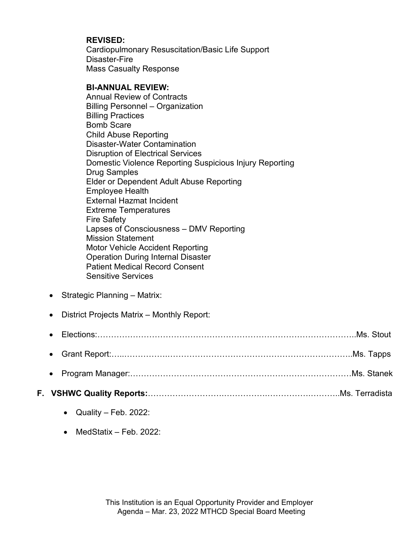### **REVISED:**

Cardiopulmonary Resuscitation/Basic Life Support Disaster-Fire Mass Casualty Response

#### **BI-ANNUAL REVIEW:**

Annual Review of Contracts Billing Personnel – Organization Billing Practices Bomb Scare Child Abuse Reporting Disaster-Water Contamination Disruption of Electrical Services Domestic Violence Reporting Suspicious Injury Reporting Drug Samples Elder or Dependent Adult Abuse Reporting Employee Health External Hazmat Incident Extreme Temperatures Fire Safety Lapses of Consciousness – DMV Reporting Mission Statement Motor Vehicle Accident Reporting Operation During Internal Disaster Patient Medical Record Consent Sensitive Services

- Strategic Planning Matrix:
- District Projects Matrix Monthly Report:

- **F. VSHWC Quality Reports:**……………………….…………….…………….………..Ms. Terradista
	- Quality Feb. 2022:
	- MedStatix Feb. 2022: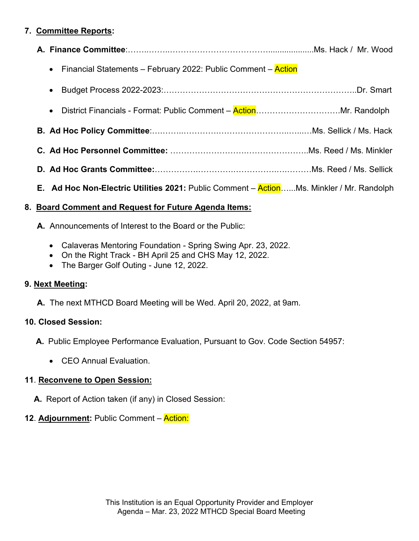# **7. Committee Reports:**

- **A. Finance Committee**:……..……..………………………………....................Ms. Hack / Mr. Wood
	- Financial Statements February 2022: Public Comment Action
	- Budget Process 2022-2023:……………………………………………………………..Dr. Smart
	- District Financials Format: Public Comment Action………………………….Mr. Randolph
- **B. Ad Hoc Policy Committee**:….……..………….……………………..…...…Ms. Sellick / Ms. Hack
- **C. Ad Hoc Personnel Committee:** ……………………….…………………..Ms. Reed / Ms. Minkler
- **D. Ad Hoc Grants Committee:**…………….………….…………….….………Ms. Reed / Ms. Sellick
- **E. Ad Hoc Non-Electric Utilities 2021:** Public Comment Action…...Ms. Minkler / Mr. Randolph

### **8. Board Comment and Request for Future Agenda Items:**

- **A.** Announcements of Interest to the Board or the Public:
	- Calaveras Mentoring Foundation Spring Swing Apr. 23, 2022.
	- On the Right Track BH April 25 and CHS May 12, 2022.
	- The Barger Golf Outing June 12, 2022.

# **9. Next Meeting:**

**A.** The next MTHCD Board Meeting will be Wed. April 20, 2022, at 9am.

# **10. Closed Session:**

- **A.** Public Employee Performance Evaluation, Pursuant to Gov. Code Section 54957:
	- CEO Annual Evaluation.

# **11**. **Reconvene to Open Session:**

**A.** Report of Action taken (if any) in Closed Session:

# **12**. **Adjournment:** Public Comment – Action: